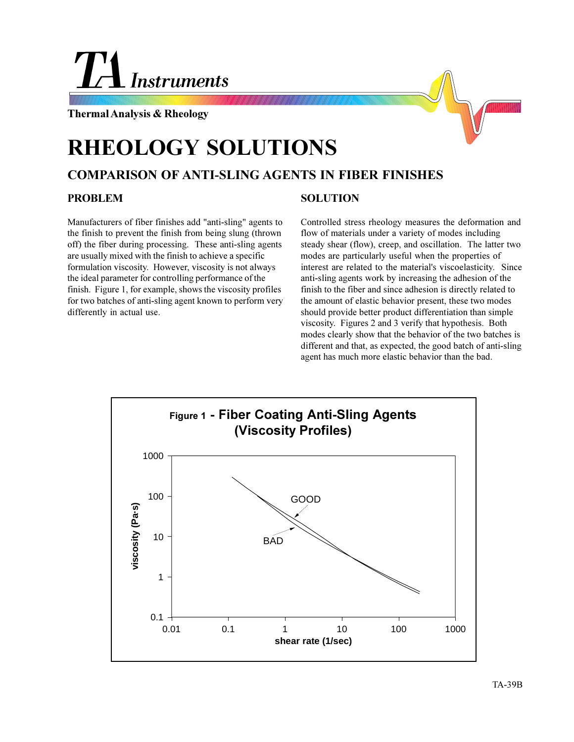# **Instruments**

**Thermal Analysis & Rheology**



# **RHEOLOGY SOLUTIONS**

## **COMPARISON OF ANTI-SLING AGENTS IN FIBER FINISHES**

#### **PROBLEM**

Manufacturers of fiber finishes add "anti-sling" agents to the finish to prevent the finish from being slung (thrown off) the fiber during processing. These anti-sling agents are usually mixed with the finish to achieve a specific formulation viscosity. However, viscosity is not always the ideal parameter for controlling performance of the finish. Figure 1, for example, shows the viscosity profiles for two batches of anti-sling agent known to perform very differently in actual use.

### **SOLUTION**

Controlled stress rheology measures the deformation and flow of materials under a variety of modes including steady shear (flow), creep, and oscillation. The latter two modes are particularly useful when the properties of interest are related to the material's viscoelasticity. Since anti-sling agents work by increasing the adhesion of the finish to the fiber and since adhesion is directly related to the amount of elastic behavior present, these two modes should provide better product differentiation than simple viscosity. Figures 2 and 3 verify that hypothesis. Both modes clearly show that the behavior of the two batches is different and that, as expected, the good batch of anti-sling agent has much more elastic behavior than the bad.